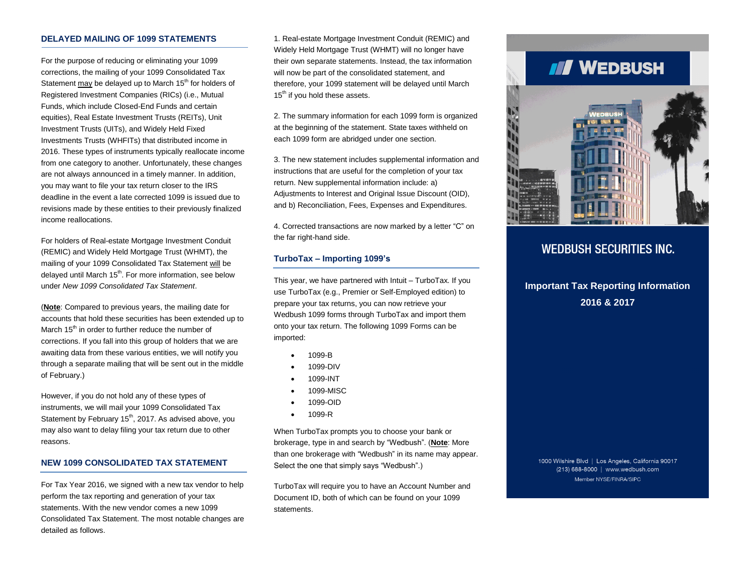#### **DELAYED MAILING OF 1099 STATEMENTS**

For the purpose of reducing or eliminating your 1099 corrections, the mailing of your 1099 Consolidated Tax Statement may be delayed up to March  $15<sup>th</sup>$  for holders of Registered Investment Companies (RICs) (i.e., Mutual Funds, which include Closed-End Funds and certain equities), Real Estate Investment Trusts (REITs), Unit Investment Trusts (UITs), and Widely Held Fixed Investments Trusts (WHFITs) that distributed income in 2016. These types of instruments typically reallocate income from one category to another. Unfortunately, these changes are not always announced in a timely manner. In addition, you may want to file your tax return closer to the IRS deadline in the event a late corrected 1099 is issued due to revisions made by these entities to their previously finalized income reallocations.

For holders of Real-estate Mortgage Investment Conduit (REMIC) and Widely Held Mortgage Trust (WHMT), the mailing of your 1099 Consolidated Tax Statement will be delayed until March 15<sup>th</sup>. For more information, see below under *New 1099 Consolidated Tax Statement*.

(**Note**: Compared to previous years, the mailing date for accounts that hold these securities has been extended up to March 15<sup>th</sup> in order to further reduce the number of corrections. If you fall into this group of holders that we are awaiting data from these various entities, we will notify you through a separate mailing that will be sent out in the middle of February.)

However, if you do not hold any of these types of instruments, we will mail your 1099 Consolidated Tax Statement by February 15<sup>th</sup>, 2017. As advised above, you may also want to delay filing your tax return due to other reasons.

### **NEW 1099 CONSOLIDATED TAX STATEMENT**

For Tax Year 2016, we signed with a new tax vendor to help perform the tax reporting and generation of your tax statements. With the new vendor comes a new 1099 Consolidated Tax Statement. The most notable changes are detailed as follows.

1. Real-estate Mortgage Investment Conduit (REMIC) and Widely Held Mortgage Trust (WHMT) will no longer have their own separate statements. Instead, the tax information will now be part of the consolidated statement, and therefore, your 1099 statement will be delayed until March  $15<sup>th</sup>$  if you hold these assets.

2. The summary information for each 1099 form is organized at the beginning of the statement. State taxes withheld on each 1099 form are abridged under one section.

3. The new statement includes supplemental information and instructions that are useful for the completion of your tax return. New supplemental information include: a) Adjustments to Interest and Original Issue Discount (OID), and b) Reconciliation, Fees, Expenses and Expenditures.

4. Corrected transactions are now marked by a letter "C" on the far right-hand side.

#### **TurboTax – Importing 1099's**

This year, we have partnered with Intuit – TurboTax. If you use TurboTax (e.g., Premier or Self-Employed edition) to prepare your tax returns, you can now retrieve your Wedbush 1099 forms through TurboTax and import them onto your tax return. The following 1099 Forms can be imported:

- 1099-B
- 1099-DIV
- 1099-INT
- 1099-MISC
- 1099-OID
- $1099-R$

When TurboTax prompts you to choose your bank or brokerage, type in and search by "Wedbush". (**Note**: More than one brokerage with "Wedbush" in its name may appear. Select the one that simply says "Wedbush".)

TurboTax will require you to have an Account Number and Document ID, both of which can be found on your 1099 statements.

# III WEDBUSH



# **WEDBUSH SECURITIES INC.**

# **Important Tax Reporting Information 2016 & 2017**

1000 Wilshire Blvd | Los Angeles, California 90017 (213) 688-8000 | www.wedbush.com Member NYSE/FINRA/SIPC